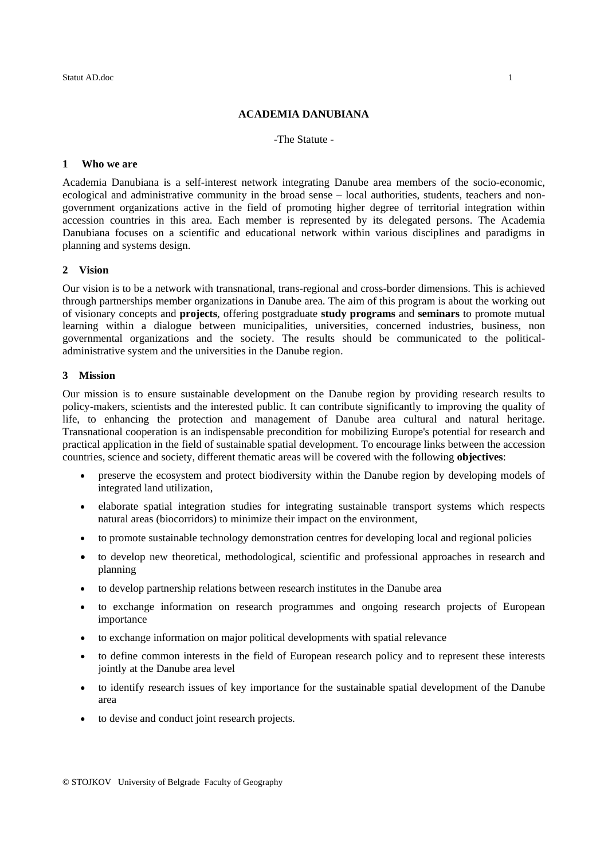### **ACADEMIA DANUBIANA**

#### -The Statute -

# **1 Who we are**

Academia Danubiana is a self-interest network integrating Danube area members of the socio-economic, ecological and administrative community in the broad sense – local authorities, students, teachers and nongovernment organizations active in the field of promoting higher degree of territorial integration within accession countries in this area. Each member is represented by its delegated persons. The Academia Danubiana focuses on a scientific and educational network within various disciplines and paradigms in planning and systems design.

#### **2 Vision**

Our vision is to be a network with transnational, trans-regional and cross-border dimensions. This is achieved through partnerships member organizations in Danube area. The aim of this program is about the working out of visionary concepts and **projects**, offering postgraduate **study programs** and **seminars** to promote mutual learning within a dialogue between municipalities, universities, concerned industries, business, non governmental organizations and the society. The results should be communicated to the politicaladministrative system and the universities in the Danube region.

### **3 Mission**

Our mission is to ensure sustainable development on the Danube region by providing research results to policy-makers, scientists and the interested public. It can contribute significantly to improving the quality of life, to enhancing the protection and management of Danube area cultural and natural heritage. Transnational cooperation is an indispensable precondition for mobilizing Europe's potential for research and practical application in the field of sustainable spatial development. To encourage links between the accession countries, science and society, different thematic areas will be covered with the following **objectives**:

- preserve the ecosystem and protect biodiversity within the Danube region by developing models of integrated land utilization,
- elaborate spatial integration studies for integrating sustainable transport systems which respects natural areas (biocorridors) to minimize their impact on the environment,
- to promote sustainable technology demonstration centres for developing local and regional policies
- to develop new theoretical, methodological, scientific and professional approaches in research and planning
- to develop partnership relations between research institutes in the Danube area
- to exchange information on research programmes and ongoing research projects of European importance
- to exchange information on major political developments with spatial relevance
- to define common interests in the field of European research policy and to represent these interests jointly at the Danube area level
- to identify research issues of key importance for the sustainable spatial development of the Danube area
- to devise and conduct joint research projects.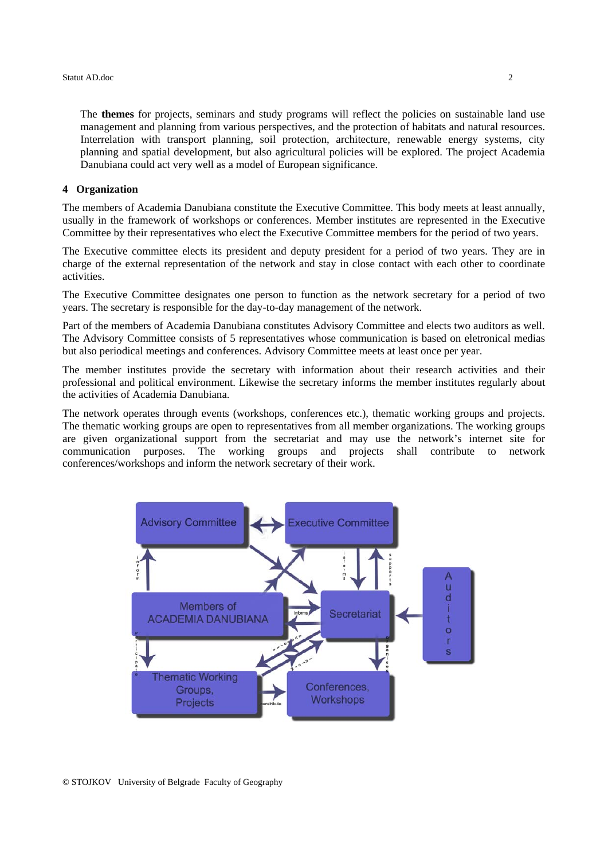The **themes** for projects, seminars and study programs will reflect the policies on sustainable land use management and planning from various perspectives, and the protection of habitats and natural resources. Interrelation with transport planning, soil protection, architecture, renewable energy systems, city planning and spatial development, but also agricultural policies will be explored. The project Academia Danubiana could act very well as a model of European significance.

# **4 Organization**

The members of Academia Danubiana constitute the Executive Committee. This body meets at least annually, usually in the framework of workshops or conferences. Member institutes are represented in the Executive Committee by their representatives who elect the Executive Committee members for the period of two years.

The Executive committee elects its president and deputy president for a period of two years. They are in charge of the external representation of the network and stay in close contact with each other to coordinate activities.

The Executive Committee designates one person to function as the network secretary for a period of two years. The secretary is responsible for the day-to-day management of the network.

Part of the members of Academia Danubiana constitutes Advisory Committee and elects two auditors as well. The Advisory Committee consists of 5 representatives whose communication is based on eletronical medias but also periodical meetings and conferences. Advisory Committee meets at least once per year.

The member institutes provide the secretary with information about their research activities and their professional and political environment. Likewise the secretary informs the member institutes regularly about the activities of Academia Danubiana.

The network operates through events (workshops, conferences etc.), thematic working groups and projects. The thematic working groups are open to representatives from all member organizations. The working groups are given organizational support from the secretariat and may use the network's internet site for communication purposes. The working groups and projects shall contribute to network conferences/workshops and inform the network secretary of their work.



© STOJKOV University of Belgrade Faculty of Geography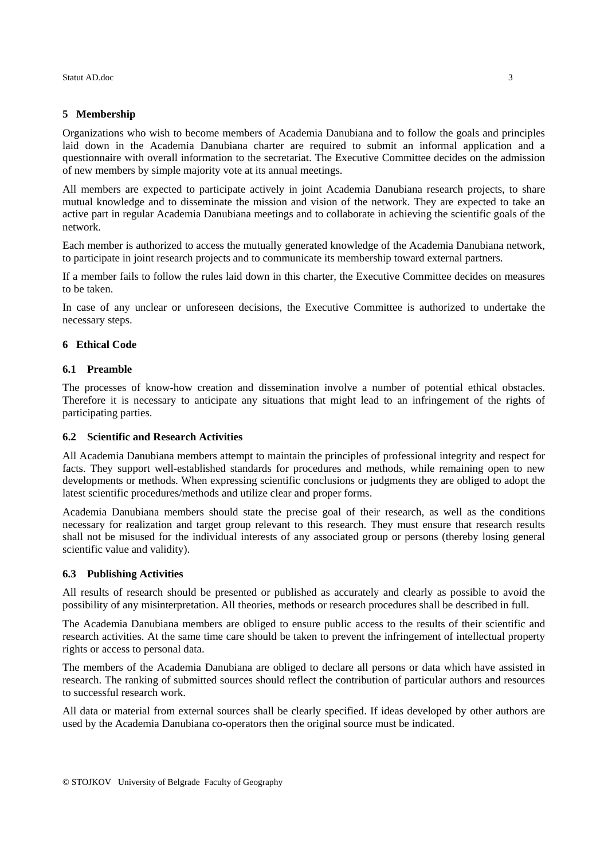# **5 Membership**

Organizations who wish to become members of Academia Danubiana and to follow the goals and principles laid down in the Academia Danubiana charter are required to submit an informal application and a questionnaire with overall information to the secretariat. The Executive Committee decides on the admission of new members by simple majority vote at its annual meetings.

All members are expected to participate actively in joint Academia Danubiana research projects, to share mutual knowledge and to disseminate the mission and vision of the network. They are expected to take an active part in regular Academia Danubiana meetings and to collaborate in achieving the scientific goals of the network.

Each member is authorized to access the mutually generated knowledge of the Academia Danubiana network, to participate in joint research projects and to communicate its membership toward external partners.

If a member fails to follow the rules laid down in this charter, the Executive Committee decides on measures to be taken.

In case of any unclear or unforeseen decisions, the Executive Committee is authorized to undertake the necessary steps.

# **6 Ethical Code**

### **6.1 Preamble**

The processes of know-how creation and dissemination involve a number of potential ethical obstacles. Therefore it is necessary to anticipate any situations that might lead to an infringement of the rights of participating parties.

### **6.2 Scientific and Research Activities**

All Academia Danubiana members attempt to maintain the principles of professional integrity and respect for facts. They support well-established standards for procedures and methods, while remaining open to new developments or methods. When expressing scientific conclusions or judgments they are obliged to adopt the latest scientific procedures/methods and utilize clear and proper forms.

Academia Danubiana members should state the precise goal of their research, as well as the conditions necessary for realization and target group relevant to this research. They must ensure that research results shall not be misused for the individual interests of any associated group or persons (thereby losing general scientific value and validity).

# **6.3 Publishing Activities**

All results of research should be presented or published as accurately and clearly as possible to avoid the possibility of any misinterpretation. All theories, methods or research procedures shall be described in full.

The Academia Danubiana members are obliged to ensure public access to the results of their scientific and research activities. At the same time care should be taken to prevent the infringement of intellectual property rights or access to personal data.

The members of the Academia Danubiana are obliged to declare all persons or data which have assisted in research. The ranking of submitted sources should reflect the contribution of particular authors and resources to successful research work.

All data or material from external sources shall be clearly specified. If ideas developed by other authors are used by the Academia Danubiana co-operators then the original source must be indicated.